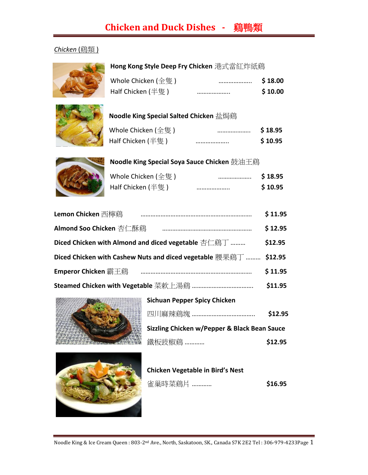# **Chicken and Duck Dishes -** 鷄鴨類

#### *Chicken* (鷄類 )



#### **Hong Kong Style Deep Fry Chicken** 港式當紅炸紙鷄

| Whole Chicken (全隻) | <br>\$18.00 |
|--------------------|-------------|
| Half Chicken (半隻)  | <br>\$10.00 |



#### **Noodle King Special Salted Chicken** 盐焗鷄

| Whole Chicken (全隻) | <br>\$18.95 |
|--------------------|-------------|
| Half Chicken (半隻 ) | <br>\$10.95 |



### **Noodle King Special Soya Sauce Chicken** 鼓油王鷄

| Whole Chicken (全隻) | <br>\$18.95 |
|--------------------|-------------|
| Half Chicken (半隻)  | <br>\$10.95 |

| Lemon Chicken 西檸鷄                                                | \$11.95 |
|------------------------------------------------------------------|---------|
| Almond Soo Chicken 杏仁酥鷄                                          | \$12.95 |
| Diced Chicken with Almond and diced vegetable 杏仁鷄丁               | \$12.95 |
| Diced Chicken with Cashew Nuts and diced vegetable 腰果鷄丁  \$12.95 |         |
| <b>Emperor Chicken</b> 霸王鷄                                       | \$11.95 |
|                                                                  | \$11.95 |



| <b>Sichuan Pepper Spicy Chicken</b>          |         |
|----------------------------------------------|---------|
|                                              | \$12.95 |
| Sizzling Chicken w/Pepper & Black Bean Sauce |         |
| 鐵板豉椒鷄 …………                                   | \$12.95 |



| <b>Chicken Vegetable in Bird's Nest</b> |         |  |
|-----------------------------------------|---------|--|
| 雀巢時菜鷄片 …………                             | \$16.95 |  |